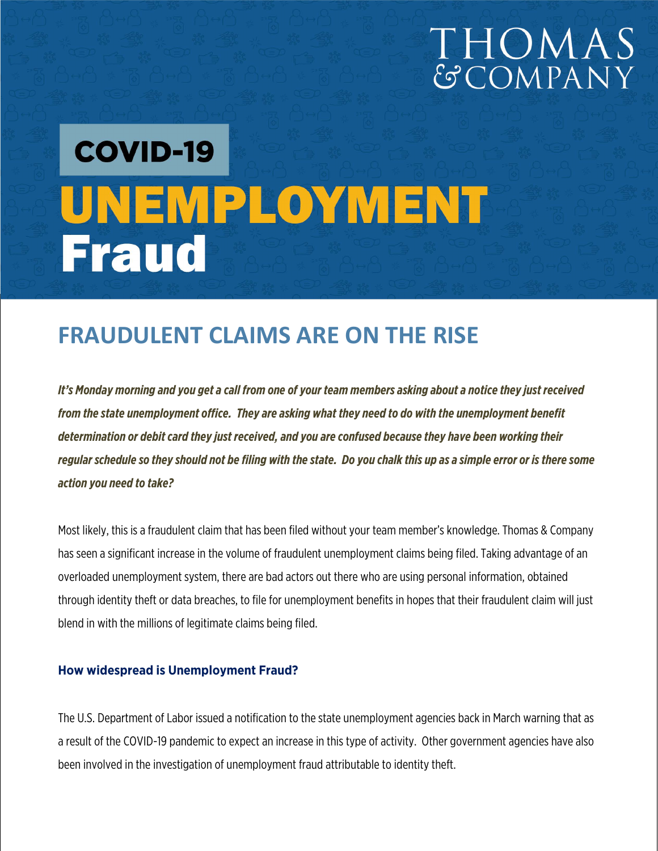# THOMAS<br>GCOMPANY

# **COVID-19** UNEMPLOYMENT **Fraud**

## **FRAUDULENT CLAIMS ARE ON THE RISE**

*It's Monday morning and you get a call from one of your team members asking about a notice they just received from the state unemployment office. They are asking what they need to do with the unemployment benefit determination or debit card they just received, and you are confused because they have been working their regular schedule so they should not be filing with the state. Do you chalk this up as a simple error or is there some action you need to take?*

Most likely, this is a fraudulent claim that has been filed without your team member's knowledge. Thomas & Company has seen a significant increase in the volume of fraudulent unemployment claims being filed. Taking advantage of an overloaded unemployment system, there are bad actors out there who are using personal information, obtained through identity theft or data breaches, to file for unemployment benefits in hopes that their fraudulent claim will just blend in with the millions of legitimate claims being filed.

#### **How widespread is Unemployment Fraud?**

The U.S. Department of Labor issued a notification to the state unemployment agencies back in March warning that as a result of the COVID-19 pandemic to expect an increase in this type of activity. Other government agencies have also been involved in the investigation of unemployment fraud attributable to identity theft.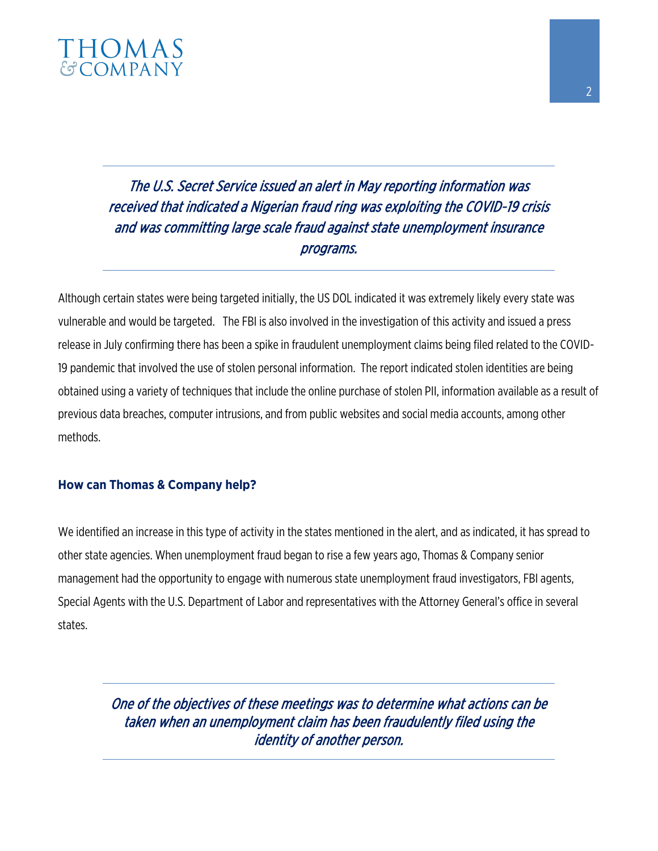

### The U.S. Secret Service issued an alert in May reporting information was received that indicated a Nigerian fraud ring was exploiting the COVID-19 crisis and was committing large scale fraud against state unemployment insurance programs.

Although certain states were being targeted initially, the US DOL indicated it was extremely likely every state was vulnerable and would be targeted. The FBI is also involved in the investigation of this activity and issued a press release in July confirming there has been a spike in fraudulent unemployment claims being filed related to the COVID-19 pandemic that involved the use of stolen personal information. The report indicated stolen identities are being obtained using a variety of techniques that include the online purchase of stolen PII, information available as a result of previous data breaches, computer intrusions, and from public websites and social media accounts, among other methods.

#### **How can Thomas & Company help?**

We identified an increase in this type of activity in the states mentioned in the alert, and as indicated, it has spread to other state agencies. When unemployment fraud began to rise a few years ago, Thomas & Company senior management had the opportunity to engage with numerous state unemployment fraud investigators, FBI agents, Special Agents with the U.S. Department of Labor and representatives with the Attorney General's office in several states.

> One of the objectives of these meetings was to determine what actions can be taken when an unemployment claim has been fraudulently filed using the identity of another person.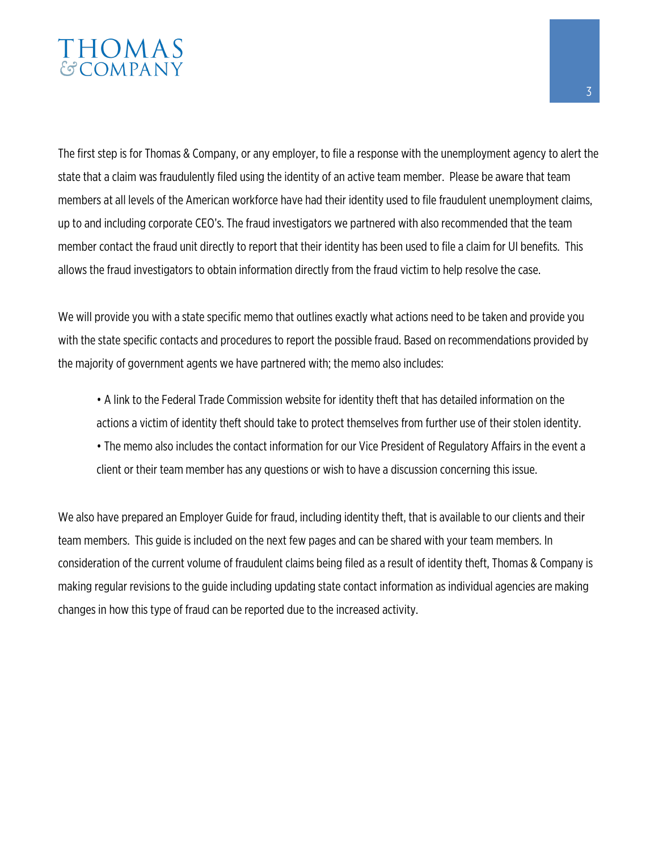# **THOMAS**<br>GCOMPANY

The first step is for Thomas & Company, or any employer, to file a response with the unemployment agency to alert the state that a claim was fraudulently filed using the identity of an active team member. Please be aware that team members at all levels of the American workforce have had their identity used to file fraudulent unemployment claims, up to and including corporate CEO's. The fraud investigators we partnered with also recommended that the team member contact the fraud unit directly to report that their identity has been used to file a claim for UI benefits. This allows the fraud investigators to obtain information directly from the fraud victim to help resolve the case.

We will provide you with a state specific memo that outlines exactly what actions need to be taken and provide you with the state specific contacts and procedures to report the possible fraud. Based on recommendations provided by the majority of government agents we have partnered with; the memo also includes:

• A link to the Federal Trade Commission website for identity theft that has detailed information on the actions a victim of identity theft should take to protect themselves from further use of their stolen identity. • The memo also includes the contact information for our Vice President of Regulatory Affairs in the event a client or their team member has any questions or wish to have a discussion concerning this issue.

We also have prepared an Employer Guide for fraud, including identity theft, that is available to our clients and their team members. This guide is included on the next few pages and can be shared with your team members. In consideration of the current volume of fraudulent claims being filed as a result of identity theft, Thomas & Company is making regular revisions to the guide including updating state contact information as individual agencies are making changes in how this type of fraud can be reported due to the increased activity.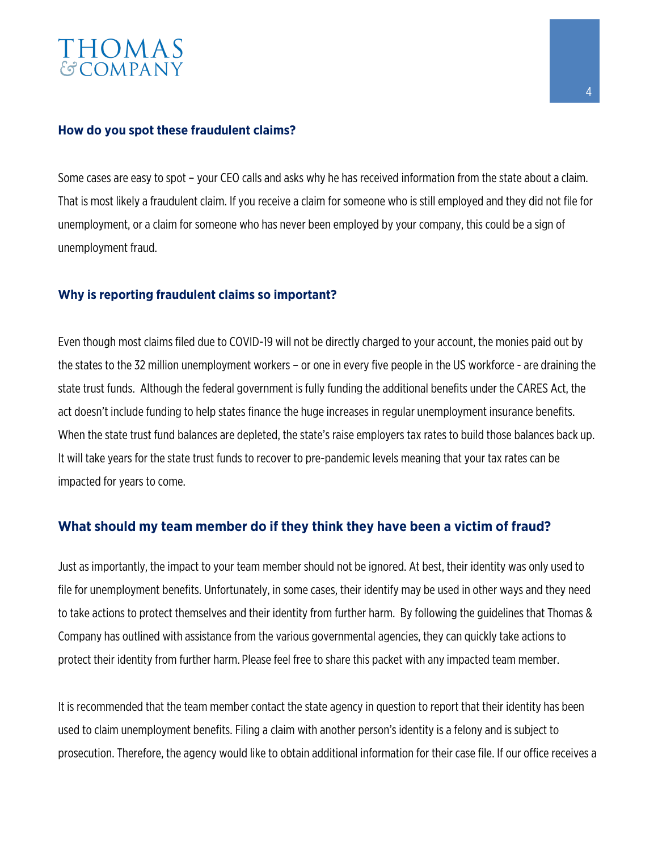# THOMAS<br>&COMPANY

#### **How do you spot these fraudulent claims?**

Some cases are easy to spot – your CEO calls and asks why he has received information from the state about a claim. That is most likely a fraudulent claim. If you receive a claim for someone who is still employed and they did not file for unemployment, or a claim for someone who has never been employed by your company, this could be a sign of unemployment fraud.

#### **Why is reporting fraudulent claims so important?**

Even though most claims filed due to COVID-19 will not be directly charged to your account, the monies paid out by the states to the 32 million unemployment workers – or one in every five people in the US workforce - are draining the state trust funds. Although the federal government is fully funding the additional benefits under the CARES Act, the act doesn't include funding to help states finance the huge increases in regular unemployment insurance benefits. When the state trust fund balances are depleted, the state's raise employers tax rates to build those balances back up. It will take years for the state trust funds to recover to pre-pandemic levels meaning that your tax rates can be impacted for years to come.

#### **What should my team member do if they think they have been a victim of fraud?**

Just as importantly, the impact to your team member should not be ignored. At best, their identity was only used to file for unemployment benefits. Unfortunately, in some cases, their identify may be used in other ways and they need to take actions to protect themselves and their identity from further harm. By following the guidelines that Thomas & Company has outlined with assistance from the various governmental agencies, they can quickly take actions to protect their identity from further harm. Please feel free to share this packet with any impacted team member.

It is recommended that the team member contact the state agency in question to report that their identity has been used to claim unemployment benefits. Filing a claim with another person's identity is a felony and is subject to prosecution. Therefore, the agency would like to obtain additional information for their case file. If our office receives a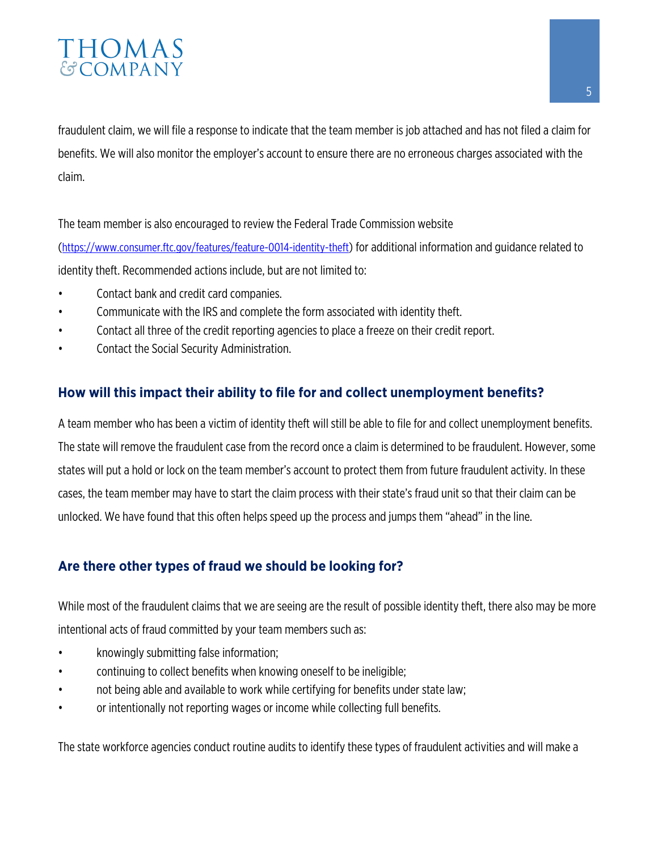### THOMAS **GCOMPANY**

fraudulent claim, we will file a response to indicate that the team member is job attached and has not filed a claim for benefits. We will also monitor the employer's account to ensure there are no erroneous charges associated with the claim.

The team member is also encouraged to review the Federal Trade Commission website [\(https://www.consumer.ftc.gov/features/feature-0014-identity-theft\)](https://www.consumer.ftc.gov/features/feature-0014-identity-theft) for additional information and guidance related to identity theft. Recommended actions include, but are not limited to:

- Contact bank and credit card companies.
- Communicate with the IRS and complete the form associated with identity theft.
- Contact all three of the credit reporting agencies to place a freeze on their credit report.
- Contact the Social Security Administration.

#### **How will this impact their ability to file for and collect unemployment benefits?**

A team member who has been a victim of identity theft will still be able to file for and collect unemployment benefits. The state will remove the fraudulent case from the record once a claim is determined to be fraudulent. However, some states will put a hold or lock on the team member's account to protect them from future fraudulent activity. In these cases, the team member may have to start the claim process with their state's fraud unit so that their claim can be unlocked. We have found that this often helps speed up the process and jumps them "ahead" in the line.

#### **Are there other types of fraud we should be looking for?**

While most of the fraudulent claims that we are seeing are the result of possible identity theft, there also may be more intentional acts of fraud committed by your team members such as:

- knowingly submitting false information;
- continuing to collect benefits when knowing oneself to be ineligible;
- not being able and available to work while certifying for benefits under state law;
- or intentionally not reporting wages or income while collecting full benefits.

The state workforce agencies conduct routine audits to identify these types of fraudulent activities and will make a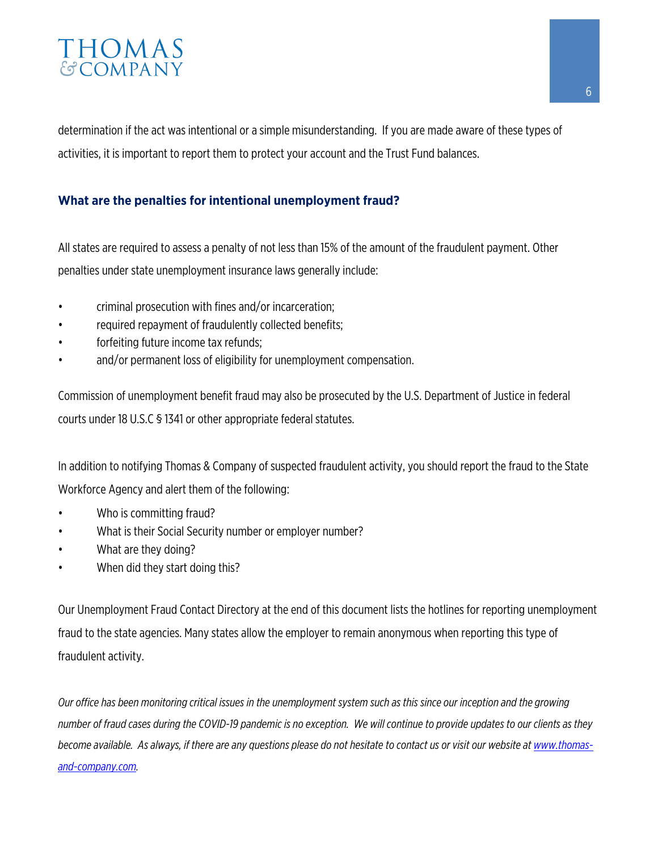### THOMAS **GCOMPANY**

determination if the act was intentional or a simple misunderstanding. If you are made aware of these types of activities, it is important to report them to protect your account and the Trust Fund balances.

#### **What are the penalties for intentional unemployment fraud?**

All states are required to assess a penalty of not less than 15% of the amount of the fraudulent payment. Other penalties under state unemployment insurance laws generally include:

- criminal prosecution with fines and/or incarceration;
- required repayment of fraudulently collected benefits;
- forfeiting future income tax refunds;
- and/or permanent loss of eligibility for unemployment compensation.

Commission of unemployment benefit fraud may also be prosecuted by the U.S. Department of Justice in federal courts under 18 U.S.C § 1341 or other appropriate federal statutes.

In addition to notifying Thomas & Company of suspected fraudulent activity, you should report the fraud to the State Workforce Agency and alert them of the following:

- Who is committing fraud?
- What is their Social Security number or employer number?
- What are they doing?
- When did they start doing this?

Our Unemployment Fraud Contact Directory at the end of this document lists the hotlines for reporting unemployment fraud to the state agencies. Many states allow the employer to remain anonymous when reporting this type of fraudulent activity.

*Our office has been monitoring critical issues in the unemployment system such as this since our inception and the growing number of fraud cases during the COVID-19 pandemic is no exception. We will continue to provide updates to our clients as they become available. As always, if there are any questions please do not hesitate to contact us or visit our website at www.thomasand-company.com.*